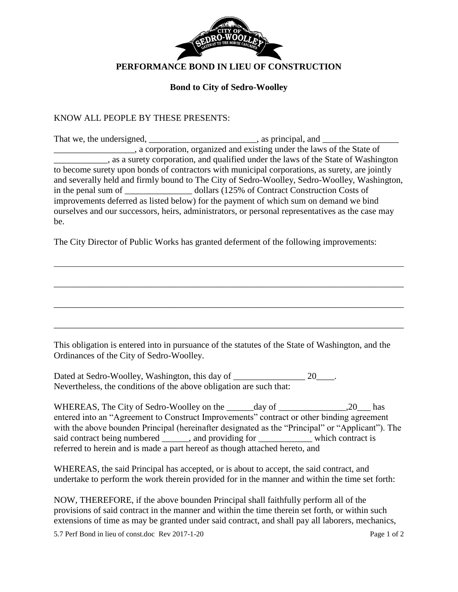

## **Bond to City of Sedro-Woolley**

## KNOW ALL PEOPLE BY THESE PRESENTS:

|                                                                                       | _, a corporation, organized and existing under the laws of the State of                          |  |
|---------------------------------------------------------------------------------------|--------------------------------------------------------------------------------------------------|--|
|                                                                                       | s as a surety corporation, and qualified under the laws of the State of Washington               |  |
|                                                                                       | to become surety upon bonds of contractors with municipal corporations, as surety, are jointly   |  |
|                                                                                       | and severally held and firmly bound to The City of Sedro-Woolley, Sedro-Woolley, Washington,     |  |
|                                                                                       |                                                                                                  |  |
| improvements deferred as listed below) for the payment of which sum on demand we bind |                                                                                                  |  |
|                                                                                       | ourselves and our successors, heirs, administrators, or personal representatives as the case may |  |
| be.                                                                                   |                                                                                                  |  |

The City Director of Public Works has granted deferment of the following improvements:

This obligation is entered into in pursuance of the statutes of the State of Washington, and the Ordinances of the City of Sedro-Woolley.

\_\_\_\_\_\_\_\_\_\_\_\_\_\_\_\_\_\_\_\_\_\_\_\_\_\_\_\_\_\_\_\_\_\_\_\_\_\_\_\_\_\_\_\_\_\_\_\_\_\_\_\_\_\_\_\_\_\_\_\_\_\_\_\_\_\_\_\_\_\_\_\_\_\_\_\_\_\_

\_\_\_\_\_\_\_\_\_\_\_\_\_\_\_\_\_\_\_\_\_\_\_\_\_\_\_\_\_\_\_\_\_\_\_\_\_\_\_\_\_\_\_\_\_\_\_\_\_\_\_\_\_\_\_\_\_\_\_\_\_\_\_\_\_\_\_\_\_\_\_\_\_\_\_\_\_\_

\_\_\_\_\_\_\_\_\_\_\_\_\_\_\_\_\_\_\_\_\_\_\_\_\_\_\_\_\_\_\_\_\_\_\_\_\_\_\_\_\_\_\_\_\_\_\_\_\_\_\_\_\_\_\_\_\_\_\_\_\_\_\_\_\_\_\_\_\_\_\_\_\_\_\_\_\_\_

Dated at Sedro-Woolley, Washington, this day of \_\_\_\_\_\_\_\_\_\_\_\_\_\_\_\_\_\_ 20\_\_\_\_. Nevertheless, the conditions of the above obligation are such that:

WHEREAS, The City of Sedro-Woolley on the \_\_\_\_\_\_day of \_\_\_\_\_\_\_\_\_\_\_\_\_\_\_,20\_\_\_ has entered into an "Agreement to Construct Improvements" contract or other binding agreement with the above bounden Principal (hereinafter designated as the "Principal" or "Applicant"). The said contract being numbered \_\_\_\_\_, and providing for \_\_\_\_\_\_\_\_\_\_ which contract is referred to herein and is made a part hereof as though attached hereto, and

WHEREAS, the said Principal has accepted, or is about to accept, the said contract, and undertake to perform the work therein provided for in the manner and within the time set forth:

NOW, THEREFORE, if the above bounden Principal shall faithfully perform all of the provisions of said contract in the manner and within the time therein set forth, or within such extensions of time as may be granted under said contract, and shall pay all laborers, mechanics,

5.7 Perf Bond in lieu of const.doc Rev 2017-1-20 Page 1 of 2